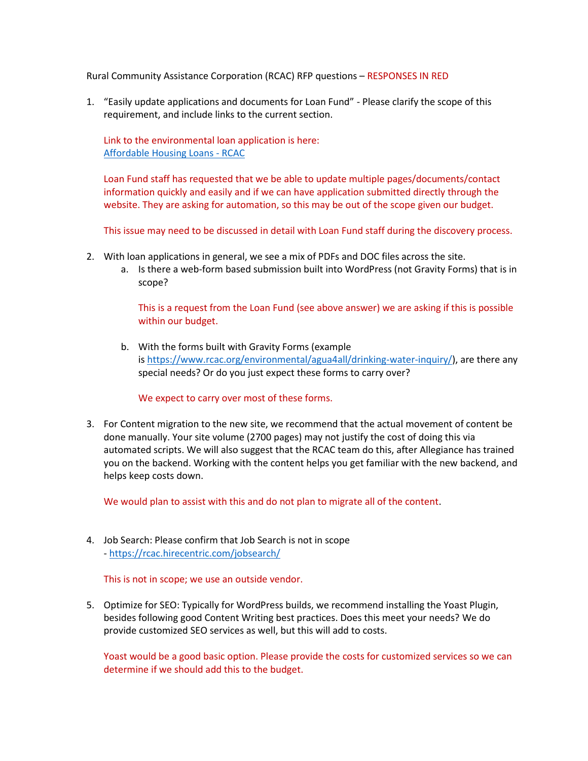Rural Community Assistance Corporation (RCAC) RFP questions – RESPONSES IN RED

1. "Easily update applications and documents for Loan Fund" - Please clarify the scope of this requirement, and include links to the current section.

Link to the environmental loan application is here: [Affordable Housing Loans -](https://www.rcac.org/lending/affordable-housing-loans/) RCAC

Loan Fund staff has requested that we be able to update multiple pages/documents/contact information quickly and easily and if we can have application submitted directly through the website. They are asking for automation, so this may be out of the scope given our budget.

This issue may need to be discussed in detail with Loan Fund staff during the discovery process.

- 2. With loan applications in general, we see a mix of PDFs and DOC files across the site.
	- a. Is there a web-form based submission built into WordPress (not Gravity Forms) that is in scope?

This is a request from the Loan Fund (see above answer) we are asking if this is possible within our budget.

b. With the forms built with Gravity Forms (example is [https://www.rcac.org/environmental/agua4all/drinking-water-inquiry/\)](https://www.rcac.org/environmental/agua4all/drinking-water-inquiry/), are there any special needs? Or do you just expect these forms to carry over?

We expect to carry over most of these forms.

3. For Content migration to the new site, we recommend that the actual movement of content be done manually. Your site volume (2700 pages) may not justify the cost of doing this via automated scripts. We will also suggest that the RCAC team do this, after Allegiance has trained you on the backend. Working with the content helps you get familiar with the new backend, and helps keep costs down.

We would plan to assist with this and do not plan to migrate all of the content.

4. Job Search: Please confirm that Job Search is not in scope - <https://rcac.hirecentric.com/jobsearch/>

This is not in scope; we use an outside vendor.

5. Optimize for SEO: Typically for WordPress builds, we recommend installing the Yoast Plugin, besides following good Content Writing best practices. Does this meet your needs? We do provide customized SEO services as well, but this will add to costs.

Yoast would be a good basic option. Please provide the costs for customized services so we can determine if we should add this to the budget.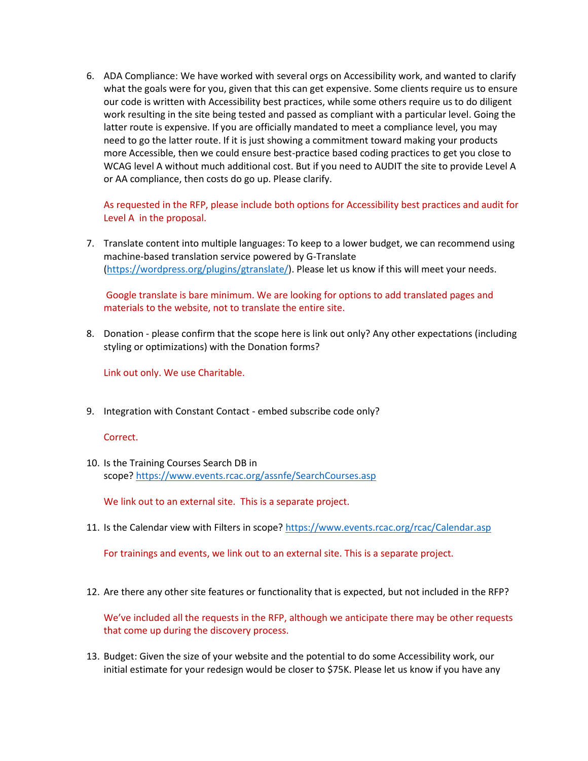6. ADA Compliance: We have worked with several orgs on Accessibility work, and wanted to clarify what the goals were for you, given that this can get expensive. Some clients require us to ensure our code is written with Accessibility best practices, while some others require us to do diligent work resulting in the site being tested and passed as compliant with a particular level. Going the latter route is expensive. If you are officially mandated to meet a compliance level, you may need to go the latter route. If it is just showing a commitment toward making your products more Accessible, then we could ensure best-practice based coding practices to get you close to WCAG level A without much additional cost. But if you need to AUDIT the site to provide Level A or AA compliance, then costs do go up. Please clarify.

As requested in the RFP, please include both options for Accessibility best practices and audit for Level A in the proposal.

7. Translate content into multiple languages: To keep to a lower budget, we can recommend using machine-based translation service powered by G-Translate [\(https://wordpress.org/plugins/gtranslate/\)](https://wordpress.org/plugins/gtranslate/). Please let us know if this will meet your needs.

Google translate is bare minimum. We are looking for options to add translated pages and materials to the website, not to translate the entire site.

8. Donation - please confirm that the scope here is link out only? Any other expectations (including styling or optimizations) with the Donation forms?

Link out only. We use Charitable.

9. Integration with Constant Contact - embed subscribe code only?

Correct.

10. Is the Training Courses Search DB in scope? <https://www.events.rcac.org/assnfe/SearchCourses.asp>

We link out to an external site. This is a separate project.

11. Is the Calendar view with Filters in scope? <https://www.events.rcac.org/rcac/Calendar.asp>

For trainings and events, we link out to an external site. This is a separate project.

12. Are there any other site features or functionality that is expected, but not included in the RFP?

We've included all the requests in the RFP, although we anticipate there may be other requests that come up during the discovery process.

13. Budget: Given the size of your website and the potential to do some Accessibility work, our initial estimate for your redesign would be closer to \$75K. Please let us know if you have any